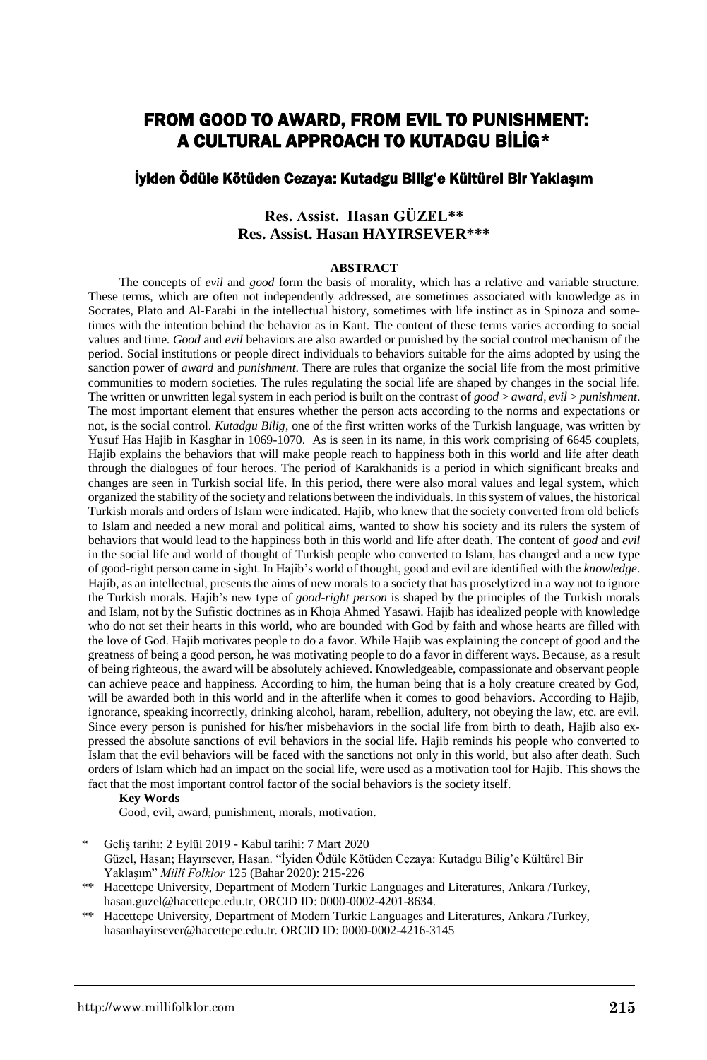# FROM GOOD TO AWARD, FROM EVIL TO PUNISHMENT: A CULTURAL APPROACH TO KUTADGU BİLİG\*

### İyiden Ödüle Kötüden Cezaya: Kutadgu Bilig'e Kültürel Bir Yaklaşım

## **Res. Assist. Hasan GÜZEL\*\* Res. Assist. Hasan HAYIRSEVER\*\*\***

#### **ABSTRACT**

The concepts of *evil* and *good* form the basis of morality, which has a relative and variable structure. These terms, which are often not independently addressed, are sometimes associated with knowledge as in Socrates, Plato and Al-Farabi in the intellectual history, sometimes with life instinct as in Spinoza and sometimes with the intention behind the behavior as in Kant. The content of these terms varies according to social values and time. *Good* and *evil* behaviors are also awarded or punished by the social control mechanism of the period. Social institutions or people direct individuals to behaviors suitable for the aims adopted by using the sanction power of *award* and *punishment*. There are rules that organize the social life from the most primitive communities to modern societies. The rules regulating the social life are shaped by changes in the social life. The written or unwritten legal system in each period is built on the contrast of *good* > *award*, *evil* > *punishment*. The most important element that ensures whether the person acts according to the norms and expectations or not, is the social control. *Kutadgu Bilig*, one of the first written works of the Turkish language, was written by Yusuf Has Hajib in Kasghar in 1069-1070. As is seen in its name, in this work comprising of 6645 couplets, Hajib explains the behaviors that will make people reach to happiness both in this world and life after death through the dialogues of four heroes. The period of Karakhanids is a period in which significant breaks and changes are seen in Turkish social life. In this period, there were also moral values and legal system, which organized the stability of the society and relations between the individuals. In this system of values, the historical Turkish morals and orders of Islam were indicated. Hajib, who knew that the society converted from old beliefs to Islam and needed a new moral and political aims, wanted to show his society and its rulers the system of behaviors that would lead to the happiness both in this world and life after death. The content of *good* and *evil* in the social life and world of thought of Turkish people who converted to Islam, has changed and a new type of good-right person came in sight. In Hajib's world of thought, good and evil are identified with the *knowledge*. Hajib, as an intellectual, presents the aims of new morals to a society that has proselytized in a way not to ignore the Turkish morals. Hajib's new type of *good-right person* is shaped by the principles of the Turkish morals and Islam, not by the Sufistic doctrines as in Khoja Ahmed Yasawi. Hajib has idealized people with knowledge who do not set their hearts in this world, who are bounded with God by faith and whose hearts are filled with the love of God. Hajib motivates people to do a favor. While Hajib was explaining the concept of good and the greatness of being a good person, he was motivating people to do a favor in different ways. Because, as a result of being righteous, the award will be absolutely achieved. Knowledgeable, compassionate and observant people can achieve peace and happiness. According to him, the human being that is a holy creature created by God, will be awarded both in this world and in the afterlife when it comes to good behaviors. According to Hajib, ignorance, speaking incorrectly, drinking alcohol, haram, rebellion, adultery, not obeying the law, etc. are evil. Since every person is punished for his/her misbehaviors in the social life from birth to death, Hajib also expressed the absolute sanctions of evil behaviors in the social life. Hajib reminds his people who converted to Islam that the evil behaviors will be faced with the sanctions not only in this world, but also after death. Such orders of Islam which had an impact on the social life, were used as a motivation tool for Hajib. This shows the fact that the most important control factor of the social behaviors is the society itself.

#### **Key Words**

Good, evil, award, punishment, morals, motivation.

<sup>\*</sup> Geliş tarihi: 2 Eylül 2019 - Kabul tarihi: 7 Mart 2020 Güzel, Hasan; Hayırsever, Hasan. "İyiden Ödüle Kötüden Cezaya: Kutadgu Bilig'e Kültürel Bir Yaklaşım" *Millî Folklor* 125 (Bahar 2020): 215-226

<sup>\*\*</sup> Hacettepe University, Department of Modern Turkic Languages and Literatures, Ankara /Turkey, hasan.guzel@hacettepe.edu.tr, ORCID ID: 0000-0002-4201-8634.

<sup>\*\*</sup> Hacettepe University, Department of Modern Turkic Languages and Literatures, Ankara /Turkey, hasanhayirsever@hacettepe.edu.tr. ORCID ID: 0000-0002-4216-3145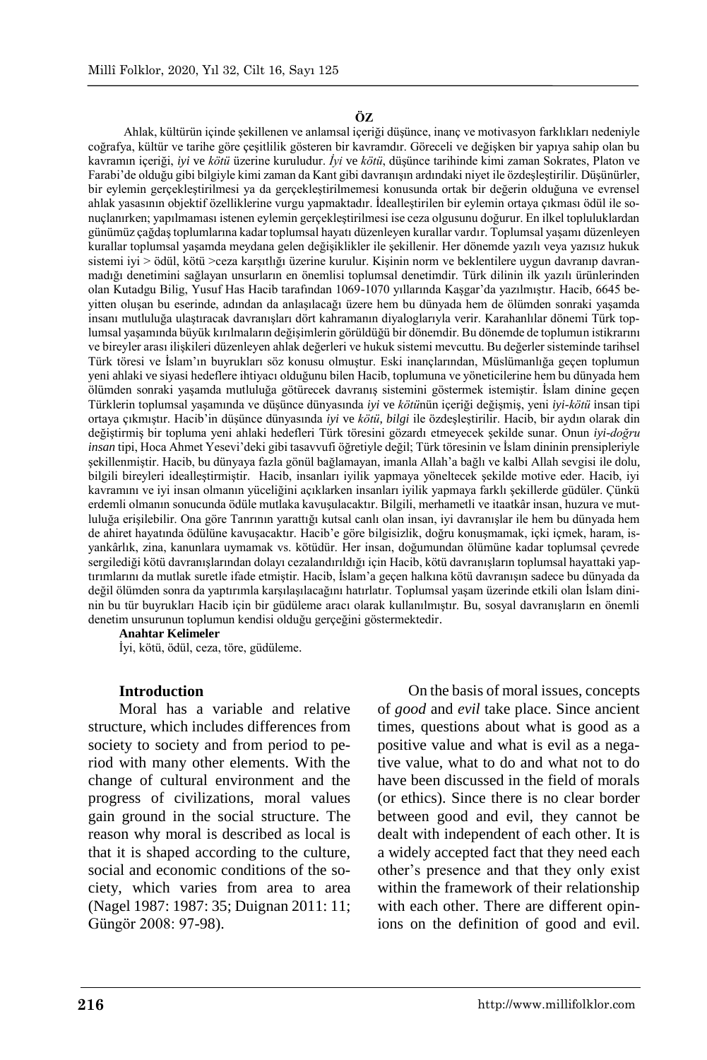#### **ÖZ**

Ahlak, kültürün içinde şekillenen ve anlamsal içeriği düşünce, inanç ve motivasyon farklıkları nedeniyle coğrafya, kültür ve tarihe göre çeşitlilik gösteren bir kavramdır. Göreceli ve değişken bir yapıya sahip olan bu kavramın içeriği, *iyi* ve *kötü* üzerine kuruludur. *İyi* ve *kötü*, düşünce tarihinde kimi zaman Sokrates, Platon ve Farabi'de olduğu gibi bilgiyle kimi zaman da Kant gibi davranışın ardındaki niyet ile özdeşleştirilir. Düşünürler, bir eylemin gerçekleştirilmesi ya da gerçekleştirilmemesi konusunda ortak bir değerin olduğuna ve evrensel ahlak yasasının objektif özelliklerine vurgu yapmaktadır. İdealleştirilen bir eylemin ortaya çıkması ödül ile sonuçlanırken; yapılmaması istenen eylemin gerçekleştirilmesi ise ceza olgusunu doğurur. En ilkel topluluklardan günümüz çağdaş toplumlarına kadar toplumsal hayatı düzenleyen kurallar vardır. Toplumsal yaşamı düzenleyen kurallar toplumsal yaşamda meydana gelen değişiklikler ile şekillenir. Her dönemde yazılı veya yazısız hukuk sistemi iyi > ödül, kötü >ceza karşıtlığı üzerine kurulur. Kişinin norm ve beklentilere uygun davranıp davranmadığı denetimini sağlayan unsurların en önemlisi toplumsal denetimdir. Türk dilinin ilk yazılı ürünlerinden olan Kutadgu Bilig, Yusuf Has Hacib tarafından 1069-1070 yıllarında Kaşgar'da yazılmıştır. Hacib, 6645 beyitten oluşan bu eserinde, adından da anlaşılacağı üzere hem bu dünyada hem de ölümden sonraki yaşamda insanı mutluluğa ulaştıracak davranışları dört kahramanın diyaloglarıyla verir. Karahanlılar dönemi Türk toplumsal yaşamında büyük kırılmaların değişimlerin görüldüğü bir dönemdir. Bu dönemde de toplumun istikrarını ve bireyler arası ilişkileri düzenleyen ahlak değerleri ve hukuk sistemi mevcuttu. Bu değerler sisteminde tarihsel Türk töresi ve İslam'ın buyrukları söz konusu olmuştur. Eski inançlarından, Müslümanlığa geçen toplumun yeni ahlaki ve siyasi hedeflere ihtiyacı olduğunu bilen Hacib, toplumuna ve yöneticilerine hem bu dünyada hem ölümden sonraki yaşamda mutluluğa götürecek davranış sistemini göstermek istemiştir. İslam dinine geçen Türklerin toplumsal yaşamında ve düşünce dünyasında *iyi* ve *kötü*nün içeriği değişmiş, yeni *iyi*-*kötü* insan tipi ortaya çıkmıştır. Hacib'in düşünce dünyasında *iyi* ve *kötü*, *bilgi* ile özdeşleştirilir. Hacib, bir aydın olarak din değiştirmiş bir topluma yeni ahlaki hedefleri Türk töresini gözardı etmeyecek şekilde sunar. Onun *iyi*-*doğru insan* tipi, Hoca Ahmet Yesevi'deki gibi tasavvufi öğretiyle değil; Türk töresinin ve İslam dininin prensipleriyle şekillenmiştir. Hacib, bu dünyaya fazla gönül bağlamayan, imanla Allah'a bağlı ve kalbi Allah sevgisi ile dolu, bilgili bireyleri idealleştirmiştir. Hacib, insanları iyilik yapmaya yöneltecek şekilde motive eder. Hacib, iyi kavramını ve iyi insan olmanın yüceliğini açıklarken insanları iyilik yapmaya farklı şekillerde güdüler. Çünkü erdemli olmanın sonucunda ödüle mutlaka kavuşulacaktır. Bilgili, merhametli ve itaatkâr insan, huzura ve mutluluğa erişilebilir. Ona göre Tanrının yarattığı kutsal canlı olan insan, iyi davranışlar ile hem bu dünyada hem de ahiret hayatında ödülüne kavuşacaktır. Hacib'e göre bilgisizlik, doğru konuşmamak, içki içmek, haram, isyankârlık, zina, kanunlara uymamak vs. kötüdür. Her insan, doğumundan ölümüne kadar toplumsal çevrede sergilediği kötü davranışlarından dolayı cezalandırıldığı için Hacib, kötü davranışların toplumsal hayattaki yaptırımlarını da mutlak suretle ifade etmiştir. Hacib, İslam'a geçen halkına kötü davranışın sadece bu dünyada da değil ölümden sonra da yaptırımla karşılaşılacağını hatırlatır. Toplumsal yaşam üzerinde etkili olan İslam dininin bu tür buyrukları Hacib için bir güdüleme aracı olarak kullanılmıştır. Bu, sosyal davranışların en önemli denetim unsurunun toplumun kendisi olduğu gerçeğini göstermektedir.

#### **Anahtar Kelimeler**

İyi, kötü, ödül, ceza, töre, güdüleme.

#### **Introduction**

Moral has a variable and relative structure, which includes differences from society to society and from period to period with many other elements. With the change of cultural environment and the progress of civilizations, moral values gain ground in the social structure. The reason why moral is described as local is that it is shaped according to the culture, social and economic conditions of the society, which varies from area to area (Nagel 1987: 1987: 35; Duignan 2011: 11; Güngör 2008: 97-98).

On the basis of moral issues, concepts of *good* and *evil* take place. Since ancient times, questions about what is good as a positive value and what is evil as a negative value, what to do and what not to do have been discussed in the field of morals (or ethics). Since there is no clear border between good and evil, they cannot be dealt with independent of each other. It is a widely accepted fact that they need each other's presence and that they only exist within the framework of their relationship with each other. There are different opinions on the definition of good and evil.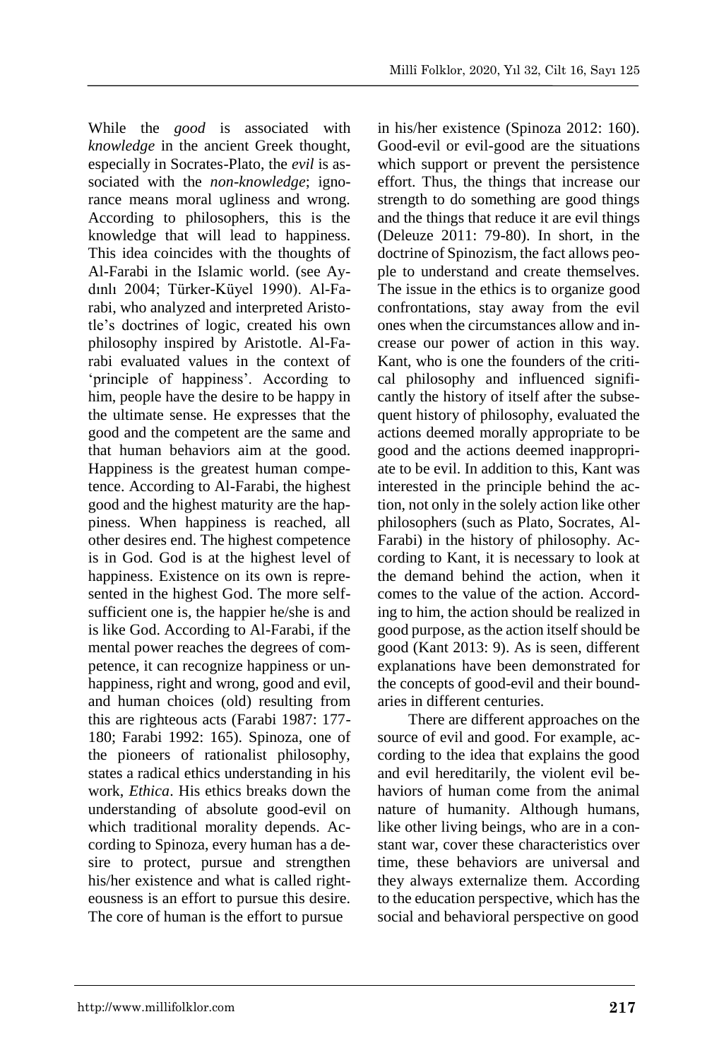While the *good* is associated with *knowledge* in the ancient Greek thought, especially in Socrates-Plato, the *evil* is associated with the *non-knowledge*; ignorance means moral ugliness and wrong. According to philosophers, this is the knowledge that will lead to happiness. This idea coincides with the thoughts of Al-Farabi in the Islamic world. (see Aydınlı 2004; Türker-Küyel 1990). Al-Farabi, who analyzed and interpreted Aristotle's doctrines of logic, created his own philosophy inspired by Aristotle. Al-Farabi evaluated values in the context of 'principle of happiness'. According to him, people have the desire to be happy in the ultimate sense. He expresses that the good and the competent are the same and that human behaviors aim at the good. Happiness is the greatest human competence. According to Al-Farabi, the highest good and the highest maturity are the happiness. When happiness is reached, all other desires end. The highest competence is in God. God is at the highest level of happiness. Existence on its own is represented in the highest God. The more selfsufficient one is, the happier he/she is and is like God. According to Al-Farabi, if the mental power reaches the degrees of competence, it can recognize happiness or unhappiness, right and wrong, good and evil, and human choices (old) resulting from this are righteous acts (Farabi 1987: 177- 180; Farabi 1992: 165). Spinoza, one of the pioneers of rationalist philosophy, states a radical ethics understanding in his work, *Ethica*. His ethics breaks down the understanding of absolute good-evil on which traditional morality depends. According to Spinoza, every human has a desire to protect, pursue and strengthen his/her existence and what is called righteousness is an effort to pursue this desire. The core of human is the effort to pursue

in his/her existence (Spinoza 2012: 160). Good-evil or evil-good are the situations which support or prevent the persistence effort. Thus, the things that increase our strength to do something are good things and the things that reduce it are evil things (Deleuze 2011: 79-80). In short, in the doctrine of Spinozism, the fact allows people to understand and create themselves. The issue in the ethics is to organize good confrontations, stay away from the evil ones when the circumstances allow and increase our power of action in this way. Kant, who is one the founders of the critical philosophy and influenced significantly the history of itself after the subsequent history of philosophy, evaluated the actions deemed morally appropriate to be good and the actions deemed inappropriate to be evil. In addition to this, Kant was interested in the principle behind the action, not only in the solely action like other philosophers (such as Plato, Socrates, Al-Farabi) in the history of philosophy. According to Kant, it is necessary to look at the demand behind the action, when it comes to the value of the action. According to him, the action should be realized in good purpose, as the action itself should be good (Kant 2013: 9). As is seen, different explanations have been demonstrated for the concepts of good-evil and their boundaries in different centuries.

There are different approaches on the source of evil and good. For example, according to the idea that explains the good and evil hereditarily, the violent evil behaviors of human come from the animal nature of humanity. Although humans, like other living beings, who are in a constant war, cover these characteristics over time, these behaviors are universal and they always externalize them. According to the education perspective, which has the social and behavioral perspective on good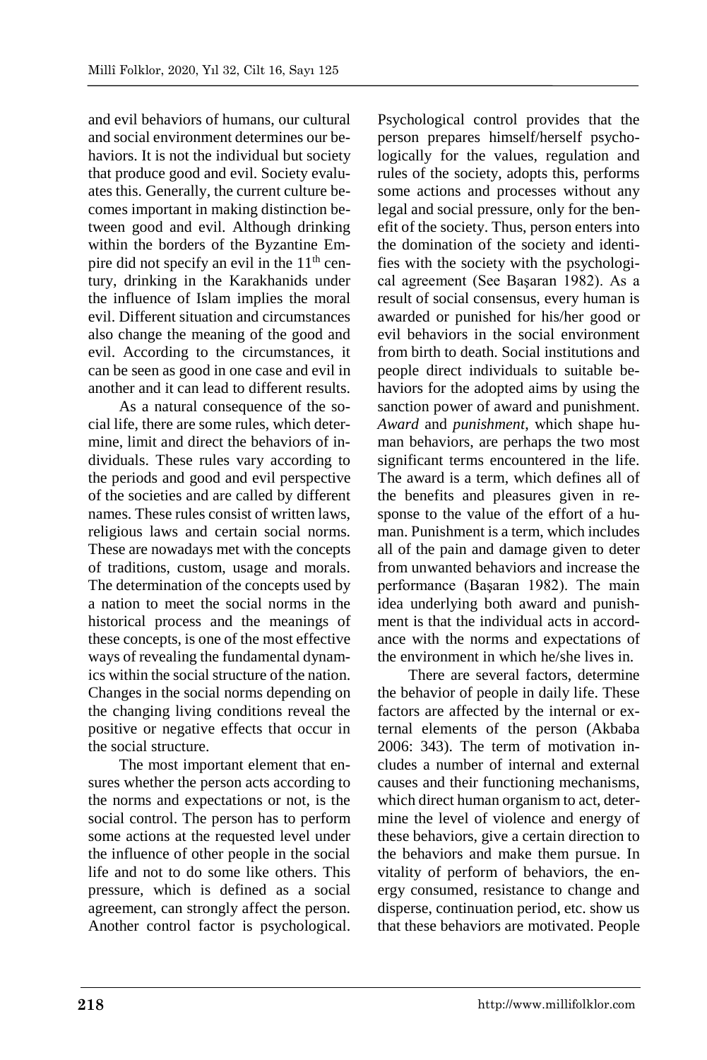and evil behaviors of humans, our cultural and social environment determines our behaviors. It is not the individual but society that produce good and evil. Society evaluates this. Generally, the current culture becomes important in making distinction between good and evil. Although drinking within the borders of the Byzantine Empire did not specify an evil in the  $11<sup>th</sup>$  century, drinking in the Karakhanids under the influence of Islam implies the moral evil. Different situation and circumstances also change the meaning of the good and evil. According to the circumstances, it can be seen as good in one case and evil in another and it can lead to different results.

As a natural consequence of the social life, there are some rules, which determine, limit and direct the behaviors of individuals. These rules vary according to the periods and good and evil perspective of the societies and are called by different names. These rules consist of written laws, religious laws and certain social norms. These are nowadays met with the concepts of traditions, custom, usage and morals. The determination of the concepts used by a nation to meet the social norms in the historical process and the meanings of these concepts, is one of the most effective ways of revealing the fundamental dynamics within the social structure of the nation. Changes in the social norms depending on the changing living conditions reveal the positive or negative effects that occur in the social structure.

The most important element that ensures whether the person acts according to the norms and expectations or not, is the social control. The person has to perform some actions at the requested level under the influence of other people in the social life and not to do some like others. This pressure, which is defined as a social agreement, can strongly affect the person. Another control factor is psychological.

Psychological control provides that the person prepares himself/herself psychologically for the values, regulation and rules of the society, adopts this, performs some actions and processes without any legal and social pressure, only for the benefit of the society. Thus, person enters into the domination of the society and identifies with the society with the psychological agreement (See Başaran 1982). As a result of social consensus, every human is awarded or punished for his/her good or evil behaviors in the social environment from birth to death. Social institutions and people direct individuals to suitable behaviors for the adopted aims by using the sanction power of award and punishment. *Award* and *punishment*, which shape human behaviors, are perhaps the two most significant terms encountered in the life. The award is a term, which defines all of the benefits and pleasures given in response to the value of the effort of a human. Punishment is a term, which includes all of the pain and damage given to deter from unwanted behaviors and increase the performance (Başaran 1982). The main idea underlying both award and punishment is that the individual acts in accordance with the norms and expectations of the environment in which he/she lives in.

There are several factors, determine the behavior of people in daily life. These factors are affected by the internal or external elements of the person (Akbaba 2006: 343). The term of motivation includes a number of internal and external causes and their functioning mechanisms, which direct human organism to act, determine the level of violence and energy of these behaviors, give a certain direction to the behaviors and make them pursue. In vitality of perform of behaviors, the energy consumed, resistance to change and disperse, continuation period, etc. show us that these behaviors are motivated. People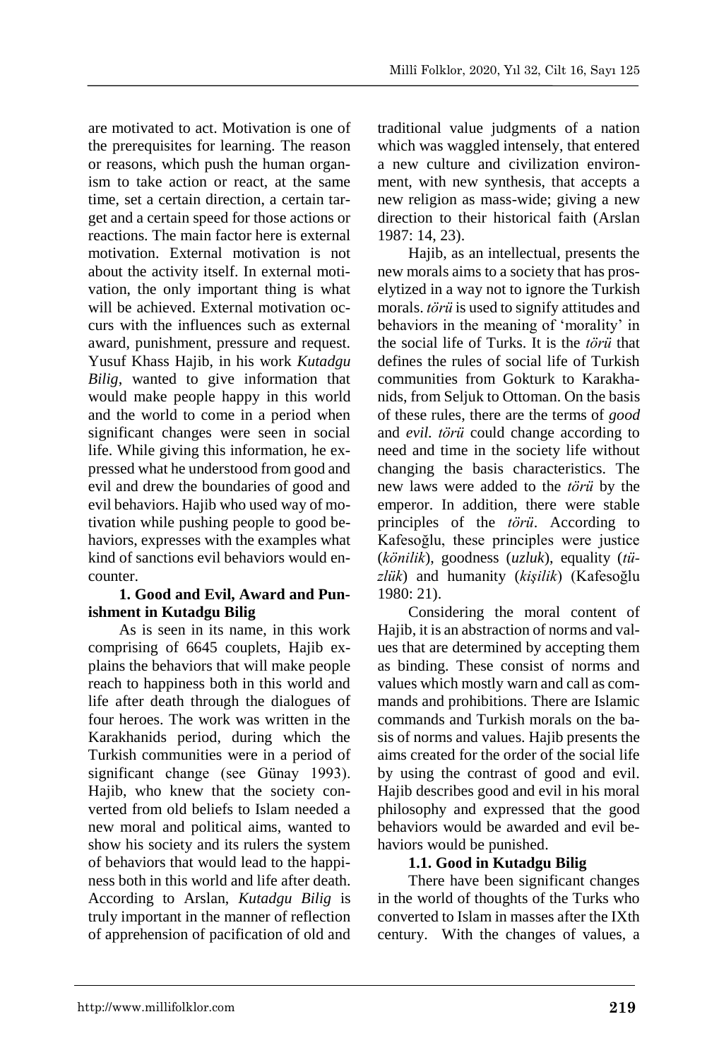are motivated to act. Motivation is one of the prerequisites for learning. The reason or reasons, which push the human organism to take action or react, at the same time, set a certain direction, a certain target and a certain speed for those actions or reactions. The main factor here is external motivation. External motivation is not about the activity itself. In external motivation, the only important thing is what will be achieved. External motivation occurs with the influences such as external award, punishment, pressure and request. Yusuf Khass Hajib, in his work *Kutadgu Bilig*, wanted to give information that would make people happy in this world and the world to come in a period when significant changes were seen in social life. While giving this information, he expressed what he understood from good and evil and drew the boundaries of good and evil behaviors. Hajib who used way of motivation while pushing people to good behaviors, expresses with the examples what kind of sanctions evil behaviors would encounter.

## **1. Good and Evil, Award and Punishment in Kutadgu Bilig**

As is seen in its name, in this work comprising of 6645 couplets, Hajib explains the behaviors that will make people reach to happiness both in this world and life after death through the dialogues of four heroes. The work was written in the Karakhanids period, during which the Turkish communities were in a period of significant change (see Günay 1993). Hajib, who knew that the society converted from old beliefs to Islam needed a new moral and political aims, wanted to show his society and its rulers the system of behaviors that would lead to the happiness both in this world and life after death. According to Arslan, *Kutadgu Bilig* is truly important in the manner of reflection of apprehension of pacification of old and

traditional value judgments of a nation which was waggled intensely, that entered a new culture and civilization environment, with new synthesis, that accepts a new religion as mass-wide; giving a new direction to their historical faith (Arslan 1987: 14, 23).

Hajib, as an intellectual, presents the new morals aims to a society that has proselytized in a way not to ignore the Turkish morals. *törü* is used to signify attitudes and behaviors in the meaning of 'morality' in the social life of Turks. It is the *törü* that defines the rules of social life of Turkish communities from Gokturk to Karakhanids, from Seljuk to Ottoman. On the basis of these rules, there are the terms of *good*  and *evil. törü* could change according to need and time in the society life without changing the basis characteristics. The new laws were added to the *törü* by the emperor. In addition, there were stable principles of the *törü*. According to Kafesoğlu, these principles were justice (*könilik*), goodness (*uzluk*), equality (*tüzlük*) and humanity (*kişilik*) (Kafesoğlu 1980: 21).

Considering the moral content of Hajib, it is an abstraction of norms and values that are determined by accepting them as binding. These consist of norms and values which mostly warn and call as commands and prohibitions. There are Islamic commands and Turkish morals on the basis of norms and values. Hajib presents the aims created for the order of the social life by using the contrast of good and evil. Hajib describes good and evil in his moral philosophy and expressed that the good behaviors would be awarded and evil behaviors would be punished.

## **1.1. Good in Kutadgu Bilig**

There have been significant changes in the world of thoughts of the Turks who converted to Islam in masses after the IXth century. With the changes of values, a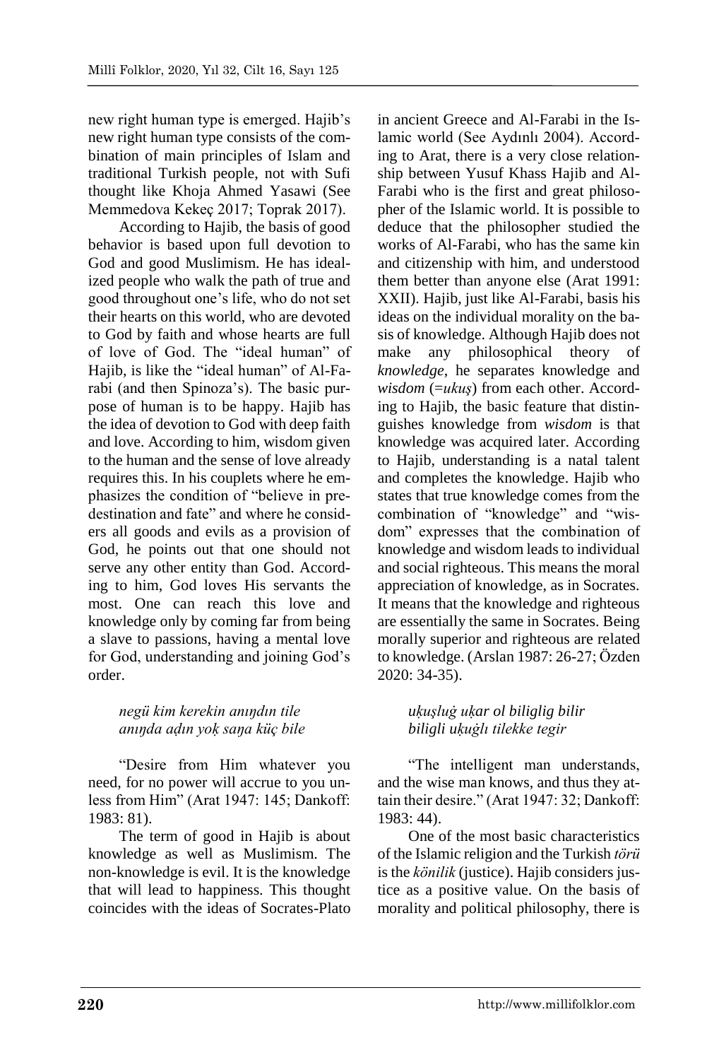new right human type is emerged. Hajib's new right human type consists of the combination of main principles of Islam and traditional Turkish people, not with Sufi thought like Khoja Ahmed Yasawi (See Memmedova Kekeç 2017; Toprak 2017).

According to Hajib, the basis of good behavior is based upon full devotion to God and good Muslimism. He has idealized people who walk the path of true and good throughout one's life, who do not set their hearts on this world, who are devoted to God by faith and whose hearts are full of love of God. The "ideal human" of Hajib, is like the "ideal human" of Al-Farabi (and then Spinoza's). The basic purpose of human is to be happy. Hajib has the idea of devotion to God with deep faith and love. According to him, wisdom given to the human and the sense of love already requires this. In his couplets where he emphasizes the condition of "believe in predestination and fate" and where he considers all goods and evils as a provision of God, he points out that one should not serve any other entity than God. According to him, God loves His servants the most. One can reach this love and knowledge only by coming far from being a slave to passions, having a mental love for God, understanding and joining God's order.

# *negü kim kerekin anıŋdın tile anıŋda aḍın yoḳ saŋa küç bile*

"Desire from Him whatever you need, for no power will accrue to you unless from Him" (Arat 1947: 145; Dankoff: 1983: 81).

The term of good in Hajib is about knowledge as well as Muslimism. The non-knowledge is evil. It is the knowledge that will lead to happiness. This thought coincides with the ideas of Socrates-Plato in ancient Greece and Al-Farabi in the Islamic world (See Aydınlı 2004). According to Arat, there is a very close relationship between Yusuf Khass Hajib and Al-Farabi who is the first and great philosopher of the Islamic world. It is possible to deduce that the philosopher studied the works of Al-Farabi, who has the same kin and citizenship with him, and understood them better than anyone else (Arat 1991: XXII). Hajib, just like Al-Farabi, basis his ideas on the individual morality on the basis of knowledge. Although Hajib does not make any philosophical theory of *knowledge*, he separates knowledge and *wisdom* (=*ukuş*) from each other. According to Hajib, the basic feature that distinguishes knowledge from *wisdom* is that knowledge was acquired later. According to Hajib, understanding is a natal talent and completes the knowledge. Hajib who states that true knowledge comes from the combination of "knowledge" and "wisdom" expresses that the combination of knowledge and wisdom leads to individual and social righteous. This means the moral appreciation of knowledge, as in Socrates. It means that the knowledge and righteous are essentially the same in Socrates. Being morally superior and righteous are related to knowledge. (Arslan 1987: 26-27; Özden 2020: 34-35).

# *uḳuşluġ uḳar ol biliglig bilir biligli uḳuġlı tilekke tegir*

"The intelligent man understands, and the wise man knows, and thus they attain their desire." (Arat 1947: 32; Dankoff: 1983: 44).

One of the most basic characteristics of the Islamic religion and the Turkish *törü* is the *könilik* (justice). Hajib considers justice as a positive value. On the basis of morality and political philosophy, there is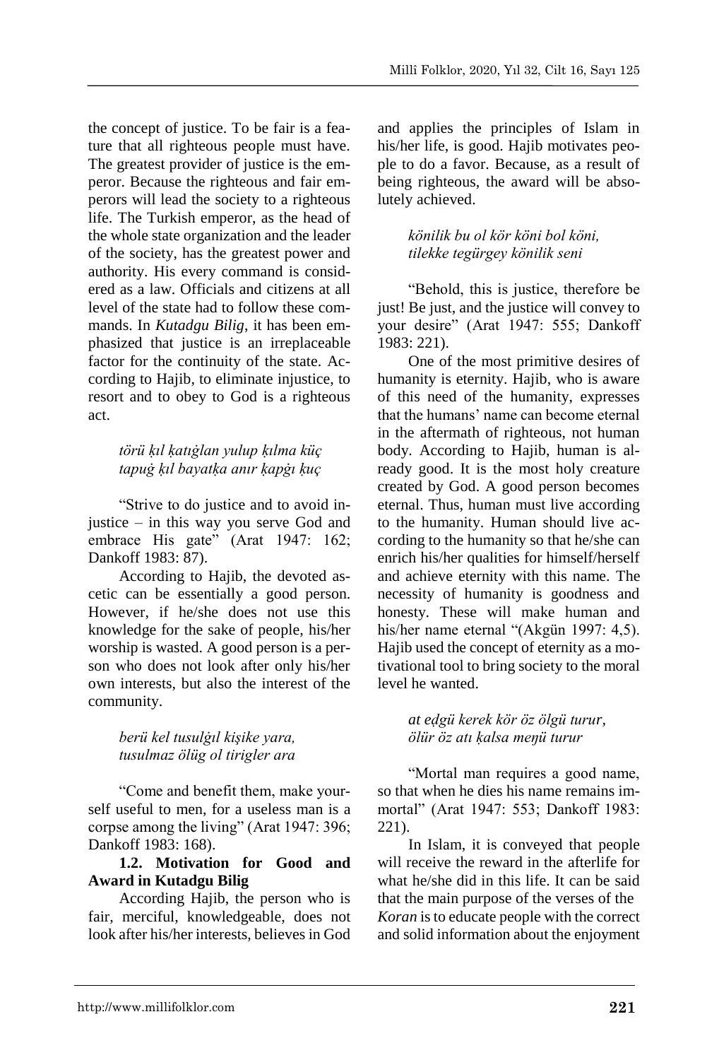the concept of justice. To be fair is a feature that all righteous people must have. The greatest provider of justice is the emperor. Because the righteous and fair emperors will lead the society to a righteous life. The Turkish emperor, as the head of the whole state organization and the leader of the society, has the greatest power and authority. His every command is considered as a law. Officials and citizens at all level of the state had to follow these commands. In *Kutadgu Bilig*, it has been emphasized that justice is an irreplaceable factor for the continuity of the state. According to Hajib, to eliminate injustice, to resort and to obey to God is a righteous act.

# *törü ḳıl ḳatıġlan yulup ḳılma küç tapuġ ḳıl bayatḳa anır ḳapġı ḳuç*

"Strive to do justice and to avoid injustice – in this way you serve God and embrace His gate" (Arat 1947: 162; Dankoff 1983: 87).

According to Hajib, the devoted ascetic can be essentially a good person. However, if he/she does not use this knowledge for the sake of people, his/her worship is wasted. A good person is a person who does not look after only his/her own interests, but also the interest of the community.

### *berü kel tusulġıl kişike yara, tusulmaz ölüg ol tirigler ara*

"Come and benefit them, make yourself useful to men, for a useless man is a corpse among the living" (Arat 1947: 396; Dankoff 1983: 168).

### **1.2. Motivation for Good and Award in Kutadgu Bilig**

According Hajib, the person who is fair, merciful, knowledgeable, does not look after his/her interests, believes in God

and applies the principles of Islam in his/her life, is good. Hajib motivates people to do a favor. Because, as a result of being righteous, the award will be absolutely achieved.

# *könilik bu ol kör köni bol köni, tilekke tegürgey könilik seni*

"Behold, this is justice, therefore be just! Be just, and the justice will convey to your desire" (Arat 1947: 555; Dankoff 1983: 221).

One of the most primitive desires of humanity is eternity. Hajib, who is aware of this need of the humanity, expresses that the humans' name can become eternal in the aftermath of righteous, not human body. According to Hajib, human is already good. It is the most holy creature created by God. A good person becomes eternal. Thus, human must live according to the humanity. Human should live according to the humanity so that he/she can enrich his/her qualities for himself/herself and achieve eternity with this name. The necessity of humanity is goodness and honesty. These will make human and his/her name eternal "(Akgün 1997: 4,5). Hajib used the concept of eternity as a motivational tool to bring society to the moral level he wanted.

### *at eḍgü kerek kör öz ölgü turur, ölür öz atı ḳalsa meŋü turur*

"Mortal man requires a good name, so that when he dies his name remains immortal" (Arat 1947: 553; Dankoff 1983: 221).

In Islam, it is conveyed that people will receive the reward in the afterlife for what he/she did in this life. It can be said that the main purpose of the verses of the *Koran* is to educate people with the correct and solid information about the enjoyment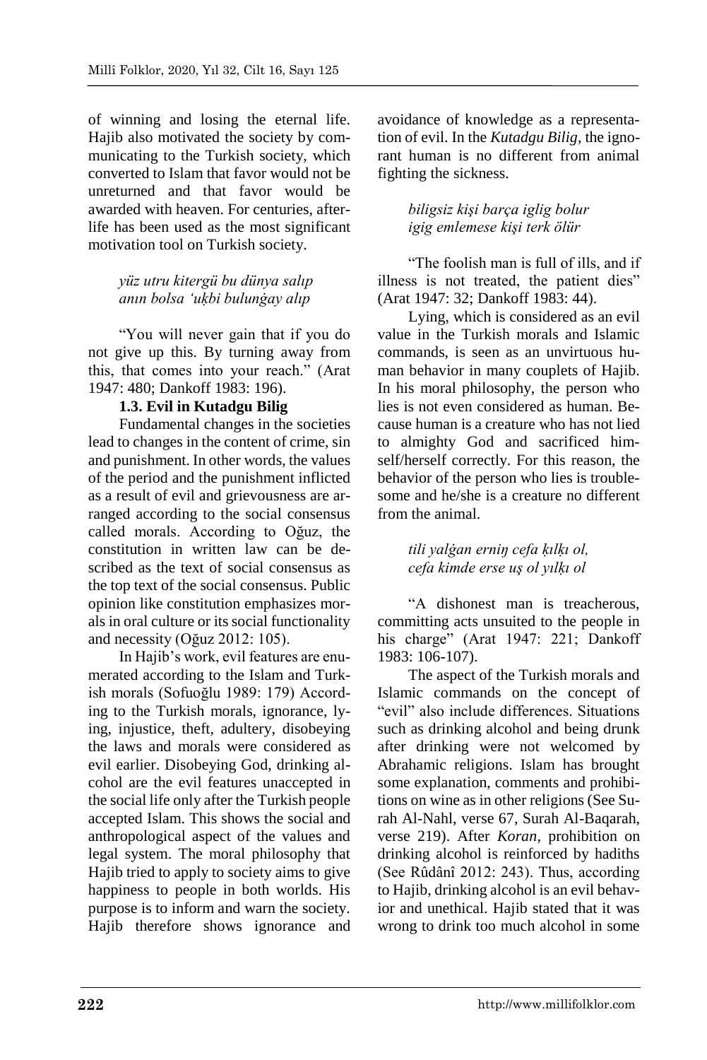of winning and losing the eternal life. Hajib also motivated the society by communicating to the Turkish society, which converted to Islam that favor would not be unreturned and that favor would be awarded with heaven. For centuries, afterlife has been used as the most significant motivation tool on Turkish society.

## *yüz utru kitergü bu dünya salıp anın bolsa 'uḳbi bulunġay alıp*

"You will never gain that if you do not give up this. By turning away from this, that comes into your reach." (Arat 1947: 480; Dankoff 1983: 196).

## **1.3. Evil in Kutadgu Bilig**

Fundamental changes in the societies lead to changes in the content of crime, sin and punishment. In other words, the values of the period and the punishment inflicted as a result of evil and grievousness are arranged according to the social consensus called morals. According to Oğuz, the constitution in written law can be described as the text of social consensus as the top text of the social consensus. Public opinion like constitution emphasizes morals in oral culture or its social functionality and necessity (Oğuz 2012: 105).

In Hajib's work, evil features are enumerated according to the Islam and Turkish morals (Sofuoğlu 1989: 179) According to the Turkish morals, ignorance, lying, injustice, theft, adultery, disobeying the laws and morals were considered as evil earlier. Disobeying God, drinking alcohol are the evil features unaccepted in the social life only after the Turkish people accepted Islam. This shows the social and anthropological aspect of the values and legal system. The moral philosophy that Hajib tried to apply to society aims to give happiness to people in both worlds. His purpose is to inform and warn the society. Hajib therefore shows ignorance and

avoidance of knowledge as a representation of evil. In the *Kutadgu Bilig*, the ignorant human is no different from animal fighting the sickness.

## *biligsiz kişi barça iglig bolur igig emlemese kişi terk ölür*

"The foolish man is full of ills, and if illness is not treated, the patient dies" (Arat 1947: 32; Dankoff 1983: 44).

Lying, which is considered as an evil value in the Turkish morals and Islamic commands, is seen as an unvirtuous human behavior in many couplets of Hajib. In his moral philosophy, the person who lies is not even considered as human. Because human is a creature who has not lied to almighty God and sacrificed himself/herself correctly. For this reason, the behavior of the person who lies is troublesome and he/she is a creature no different from the animal.

## *tili yalġan erniŋ cefa ḳılḳı ol, cefa kimde erse uş ol yılḳı ol*

"A dishonest man is treacherous, committing acts unsuited to the people in his charge" (Arat 1947: 221; Dankoff 1983: 106-107).

The aspect of the Turkish morals and Islamic commands on the concept of "evil" also include differences. Situations such as drinking alcohol and being drunk after drinking were not welcomed by Abrahamic religions. Islam has brought some explanation, comments and prohibitions on wine as in other religions (See Surah Al-Nahl, verse 67, Surah Al-Baqarah, verse 219). After *Koran*, prohibition on drinking alcohol is reinforced by hadiths (See Rûdânî 2012: 243). Thus, according to Hajib, drinking alcohol is an evil behavior and unethical. Hajib stated that it was wrong to drink too much alcohol in some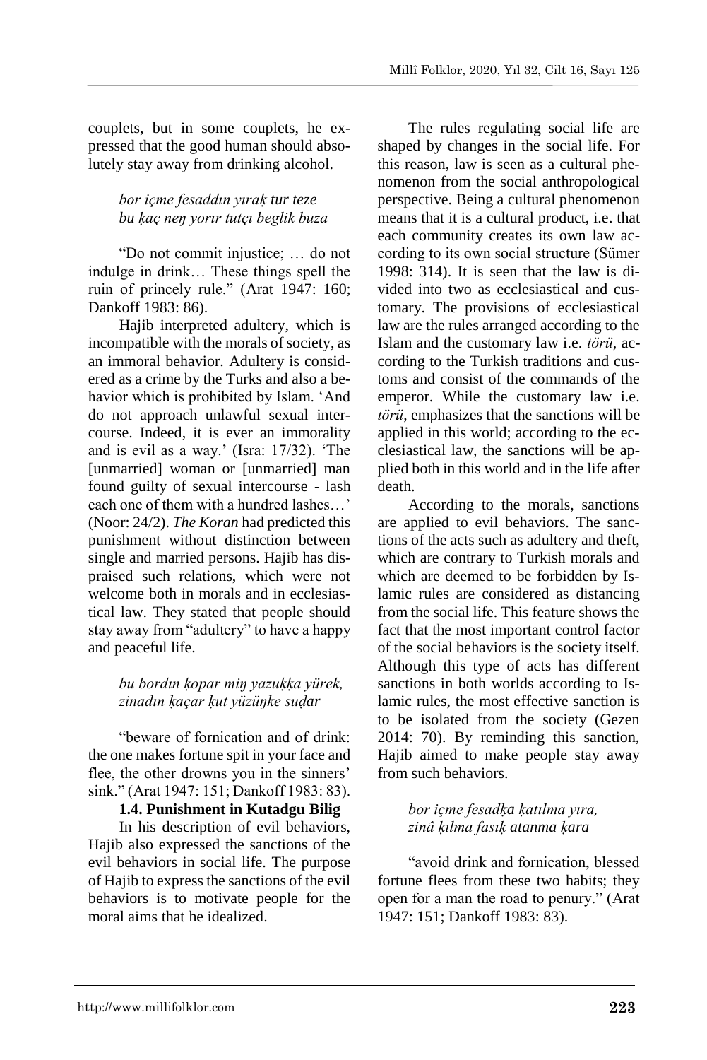couplets, but in some couplets, he expressed that the good human should absolutely stay away from drinking alcohol.

## *bor içme fesaddın yıraḳ tur teze bu ḳaç neŋ yorır tutçı beglik buza*

"Do not commit injustice; … do not indulge in drink… These things spell the ruin of princely rule." (Arat 1947: 160; Dankoff 1983: 86).

Hajib interpreted adultery, which is incompatible with the morals of society, as an immoral behavior. Adultery is considered as a crime by the Turks and also a behavior which is prohibited by Islam. 'And do not approach unlawful sexual intercourse. Indeed, it is ever an immorality and is evil as a way.' (Isra: 17/32). 'The [unmarried] woman or [unmarried] man found guilty of sexual intercourse - lash each one of them with a hundred lashes…' (Noor: 24/2). *The Koran* had predicted this punishment without distinction between single and married persons. Hajib has dispraised such relations, which were not welcome both in morals and in ecclesiastical law. They stated that people should stay away from "adultery" to have a happy and peaceful life.

### *bu bordın ḳopar miŋ yazuḳḳa yürek, zinadın ḳaçar ḳut yüzüŋke suḍar*

"beware of fornication and of drink: the one makes fortune spit in your face and flee, the other drowns you in the sinners' sink." (Arat 1947: 151; Dankoff 1983: 83).

#### **1.4. Punishment in Kutadgu Bilig**

In his description of evil behaviors, Hajib also expressed the sanctions of the evil behaviors in social life. The purpose of Hajib to express the sanctions of the evil behaviors is to motivate people for the moral aims that he idealized.

The rules regulating social life are shaped by changes in the social life. For this reason, law is seen as a cultural phenomenon from the social anthropological perspective. Being a cultural phenomenon means that it is a cultural product, i.e. that each community creates its own law according to its own social structure (Sümer 1998: 314). It is seen that the law is divided into two as ecclesiastical and customary. The provisions of ecclesiastical law are the rules arranged according to the Islam and the customary law i.e. *törü*, according to the Turkish traditions and customs and consist of the commands of the emperor. While the customary law i.e. *törü*, emphasizes that the sanctions will be applied in this world; according to the ecclesiastical law, the sanctions will be applied both in this world and in the life after death.

According to the morals, sanctions are applied to evil behaviors. The sanctions of the acts such as adultery and theft, which are contrary to Turkish morals and which are deemed to be forbidden by Islamic rules are considered as distancing from the social life. This feature shows the fact that the most important control factor of the social behaviors is the society itself. Although this type of acts has different sanctions in both worlds according to Islamic rules, the most effective sanction is to be isolated from the society (Gezen 2014: 70). By reminding this sanction, Hajib aimed to make people stay away from such behaviors.

### *bor içme fesadḳa ḳatılma yıra, zinâ ḳılma fasıḳ atanma ḳara*

"avoid drink and fornication, blessed fortune flees from these two habits; they open for a man the road to penury." (Arat 1947: 151; Dankoff 1983: 83).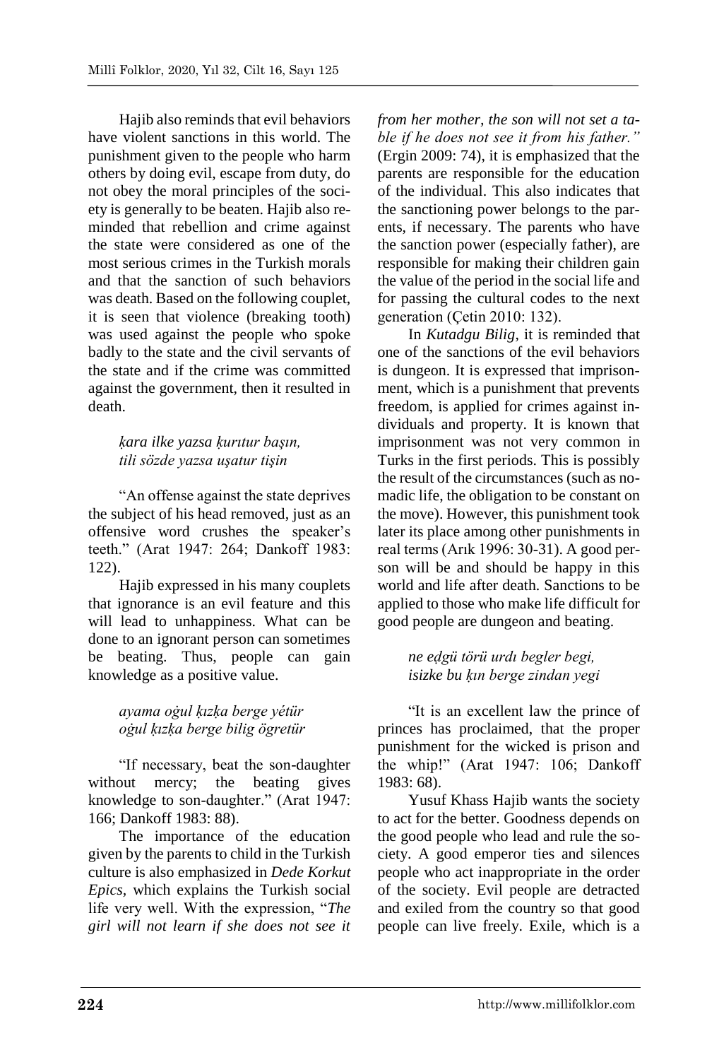Hajib also reminds that evil behaviors have violent sanctions in this world. The punishment given to the people who harm others by doing evil, escape from duty, do not obey the moral principles of the society is generally to be beaten. Hajib also reminded that rebellion and crime against the state were considered as one of the most serious crimes in the Turkish morals and that the sanction of such behaviors was death. Based on the following couplet, it is seen that violence (breaking tooth) was used against the people who spoke badly to the state and the civil servants of the state and if the crime was committed against the government, then it resulted in death.

## *ḳara ilke yazsa ḳurıtur başın, tili sözde yazsa uşatur tişin*

"An offense against the state deprives the subject of his head removed, just as an offensive word crushes the speaker's teeth." (Arat 1947: 264; Dankoff 1983: 122).

Hajib expressed in his many couplets that ignorance is an evil feature and this will lead to unhappiness. What can be done to an ignorant person can sometimes be beating. Thus, people can gain knowledge as a positive value.

# *ayama oġul ḳızḳa berge yétür oġul ḳızḳa berge bilig ögretür*

"If necessary, beat the son-daughter without mercy; the beating gives knowledge to son-daughter." (Arat 1947: 166; Dankoff 1983: 88).

The importance of the education given by the parents to child in the Turkish culture is also emphasized in *Dede Korkut Epics,* which explains the Turkish social life very well. With the expression, "*The girl will not learn if she does not see it* 

*from her mother, the son will not set a table if he does not see it from his father."* (Ergin 2009: 74), it is emphasized that the parents are responsible for the education of the individual. This also indicates that the sanctioning power belongs to the parents, if necessary. The parents who have the sanction power (especially father), are responsible for making their children gain the value of the period in the social life and for passing the cultural codes to the next generation (Çetin 2010: 132).

In *Kutadgu Bilig*, it is reminded that one of the sanctions of the evil behaviors is dungeon. It is expressed that imprisonment, which is a punishment that prevents freedom, is applied for crimes against individuals and property. It is known that imprisonment was not very common in Turks in the first periods. This is possibly the result of the circumstances (such as nomadic life, the obligation to be constant on the move). However, this punishment took later its place among other punishments in real terms (Arık 1996: 30-31). A good person will be and should be happy in this world and life after death. Sanctions to be applied to those who make life difficult for good people are dungeon and beating.

### *ne eḍgü törü urdı begler begi, isizke bu ḳın berge zindan yegi*

"It is an excellent law the prince of princes has proclaimed, that the proper punishment for the wicked is prison and the whip!" (Arat 1947: 106; Dankoff 1983: 68).

Yusuf Khass Hajib wants the society to act for the better. Goodness depends on the good people who lead and rule the society. A good emperor ties and silences people who act inappropriate in the order of the society. Evil people are detracted and exiled from the country so that good people can live freely. Exile, which is a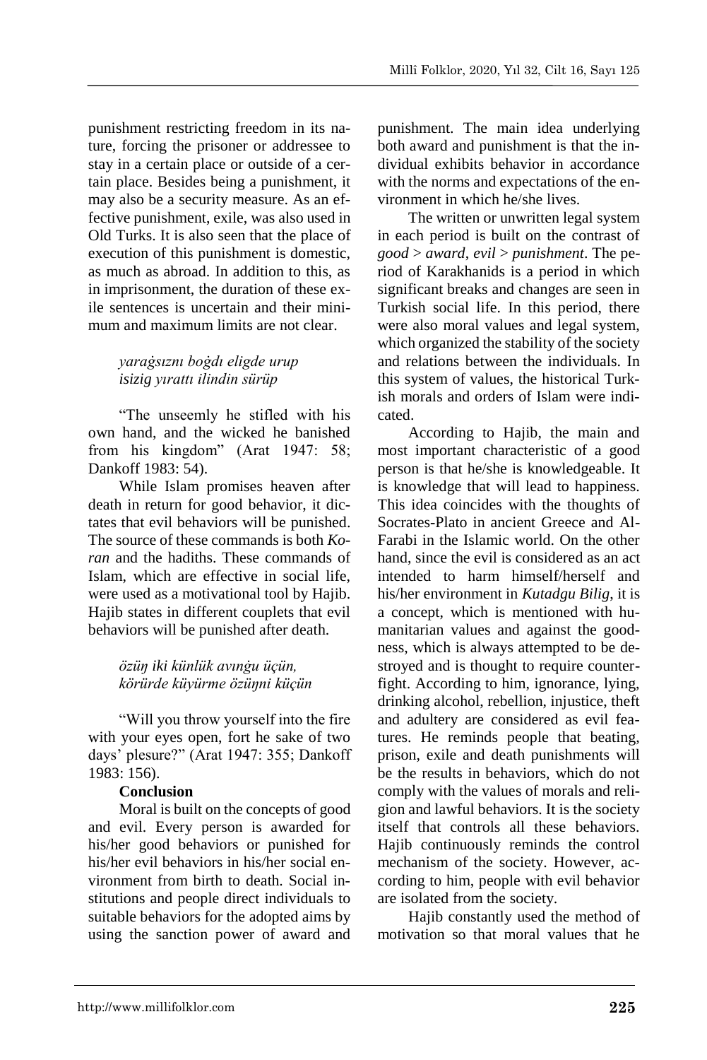punishment restricting freedom in its nature, forcing the prisoner or addressee to stay in a certain place or outside of a certain place. Besides being a punishment, it may also be a security measure. As an effective punishment, exile, was also used in Old Turks. It is also seen that the place of execution of this punishment is domestic, as much as abroad. In addition to this, as in imprisonment, the duration of these exile sentences is uncertain and their minimum and maximum limits are not clear.

## *yaraġsıznı boġdı eligde urup isizig yırattı ilindin sürüp*

"The unseemly he stifled with his own hand, and the wicked he banished from his kingdom" (Arat 1947: 58; Dankoff 1983: 54).

While Islam promises heaven after death in return for good behavior, it dictates that evil behaviors will be punished. The source of these commands is both *Koran* and the hadiths. These commands of Islam, which are effective in social life, were used as a motivational tool by Hajib. Hajib states in different couplets that evil behaviors will be punished after death.

### *özüŋ iki künlük avınġu üçün, körürde küyürme özüŋni küçün*

"Will you throw yourself into the fire with your eyes open, fort he sake of two days' plesure?" (Arat 1947: 355; Dankoff 1983: 156).

## **Conclusion**

Moral is built on the concepts of good and evil. Every person is awarded for his/her good behaviors or punished for his/her evil behaviors in his/her social environment from birth to death. Social institutions and people direct individuals to suitable behaviors for the adopted aims by using the sanction power of award and punishment. The main idea underlying both award and punishment is that the individual exhibits behavior in accordance with the norms and expectations of the environment in which he/she lives.

The written or unwritten legal system in each period is built on the contrast of *good* > *award*, *evil* > *punishment*. The period of Karakhanids is a period in which significant breaks and changes are seen in Turkish social life. In this period, there were also moral values and legal system, which organized the stability of the society and relations between the individuals. In this system of values, the historical Turkish morals and orders of Islam were indicated.

According to Hajib, the main and most important characteristic of a good person is that he/she is knowledgeable. It is knowledge that will lead to happiness. This idea coincides with the thoughts of Socrates-Plato in ancient Greece and Al-Farabi in the Islamic world. On the other hand, since the evil is considered as an act. intended to harm himself/herself and his/her environment in *Kutadgu Bilig*, it is a concept, which is mentioned with humanitarian values and against the goodness, which is always attempted to be destroyed and is thought to require counterfight. According to him, ignorance, lying, drinking alcohol, rebellion, injustice, theft and adultery are considered as evil features. He reminds people that beating, prison, exile and death punishments will be the results in behaviors, which do not comply with the values of morals and religion and lawful behaviors. It is the society itself that controls all these behaviors. Hajib continuously reminds the control mechanism of the society. However, according to him, people with evil behavior are isolated from the society.

Hajib constantly used the method of motivation so that moral values that he